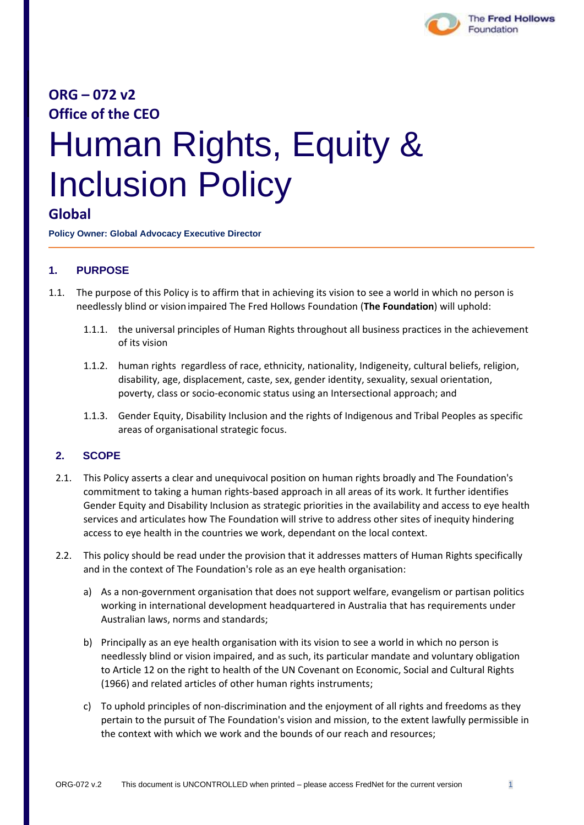

# **ORG – 072 v2 Office of the CEO**

# Human Rights, Equity & Inclusion Policy

# **Global**

**Policy Owner: Global Advocacy Executive Director**

## **1. PURPOSE**

- 1.1. The purpose of this Policy is to affirm that in achieving its vision to see a world in which no person is needlessly blind or vision impaired The Fred Hollows Foundation (**The Foundation**) will uphold:
	- 1.1.1. the universal principles of Human Rights throughout all business practices in the achievement of its vision
	- 1.1.2. human rights regardless of race, ethnicity, nationality, Indigeneity, cultural beliefs, religion, disability, age, displacement, caste, sex, gender identity, sexuality, sexual orientation, poverty, class or socio-economic status using an Intersectional approach; and
	- 1.1.3. Gender Equity, Disability Inclusion and the rights of Indigenous and Tribal Peoples as specific areas of organisational strategic focus.

#### **2. SCOPE**

- 2.1. This Policy asserts a clear and unequivocal position on human rights broadly and The Foundation's commitment to taking a human rights-based approach in all areas of its work. It further identifies Gender Equity and Disability Inclusion as strategic priorities in the availability and access to eye health services and articulates how The Foundation will strive to address other sites of inequity hindering access to eye health in the countries we work, dependant on the local context.
- 2.2. This policy should be read under the provision that it addresses matters of Human Rights specifically and in the context of The Foundation's role as an eye health organisation:
	- a) As a non-government organisation that does not support welfare, evangelism or partisan politics working in international development headquartered in Australia that has requirements under Australian laws, norms and standards;
	- b) Principally as an eye health organisation with its vision to see a world in which no person is needlessly blind or vision impaired, and as such, its particular mandate and voluntary obligation to Article 12 on the right to health of the UN Covenant on Economic, Social and Cultural Rights (1966) and related articles of other human rights instruments;
	- c) To uphold principles of non-discrimination and the enjoyment of all rights and freedoms as they pertain to the pursuit of The Foundation's vision and mission, to the extent lawfully permissible in the context with which we work and the bounds of our reach and resources;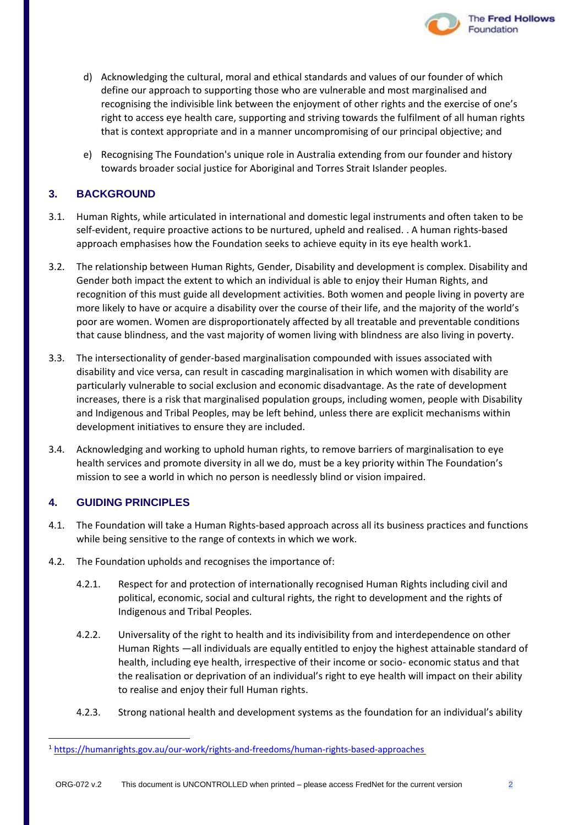- d) Acknowledging the cultural, moral and ethical standards and values of our founder of which define our approach to supporting those who are vulnerable and most marginalised and recognising the indivisible link between the enjoyment of other rights and the exercise of one's right to access eye health care, supporting and striving towards the fulfilment of all human rights that is context appropriate and in a manner uncompromising of our principal objective; and
- e) Recognising The Foundation's unique role in Australia extending from our founder and history towards broader social justice for Aboriginal and Torres Strait Islander peoples.

#### **3. BACKGROUND**

- 3.1. Human Rights, while articulated in international and domestic legal instruments and often taken to be self-evident, require proactive actions to be nurtured, upheld and realised. . A human rights-based approach emphasises how the Foundation seeks to achieve equity in its eye health work1.
- 3.2. The relationship between Human Rights, Gender, Disability and development is complex. Disability and Gender both impact the extent to which an individual is able to enjoy their Human Rights, and recognition of this must guide all development activities. Both women and people living in poverty are more likely to have or acquire a disability over the course of their life, and the majority of the world's poor are women. Women are disproportionately affected by all treatable and preventable conditions that cause blindness, and the vast majority of women living with blindness are also living in poverty.
- 3.3. The intersectionality of gender-based marginalisation compounded with issues associated with disability and vice versa, can result in cascading marginalisation in which women with disability are particularly vulnerable to social exclusion and economic disadvantage. As the rate of development increases, there is a risk that marginalised population groups, including women, people with Disability and Indigenous and Tribal Peoples, may be left behind, unless there are explicit mechanisms within development initiatives to ensure they are included.
- 3.4. Acknowledging and working to uphold human rights, to remove barriers of marginalisation to eye health services and promote diversity in all we do, must be a key priority within The Foundation's mission to see a world in which no person is needlessly blind or vision impaired.

#### **4. GUIDING PRINCIPLES**

- 4.1. The Foundation will take a Human Rights-based approach across all its business practices and functions while being sensitive to the range of contexts in which we work.
- 4.2. The Foundation upholds and recognises the importance of:
	- 4.2.1. Respect for and protection of internationally recognised Human Rights including civil and political, economic, social and cultural rights, the right to development and the rights of Indigenous and Tribal Peoples.
	- 4.2.2. Universality of the right to health and its indivisibility from and interdependence on other Human Rights —all individuals are equally entitled to enjoy the highest attainable standard of health, including eye health, irrespective of their income or socio- economic status and that the realisation or deprivation of an individual's right to eye health will impact on their ability to realise and enjoy their full Human rights.
	- 4.2.3. Strong national health and development systems as the foundation for an individual's ability

**The Fred Hollows** 

Foundation

<sup>1</sup> <https://humanrights.gov.au/our-work/rights-and-freedoms/human-rights-based-approaches>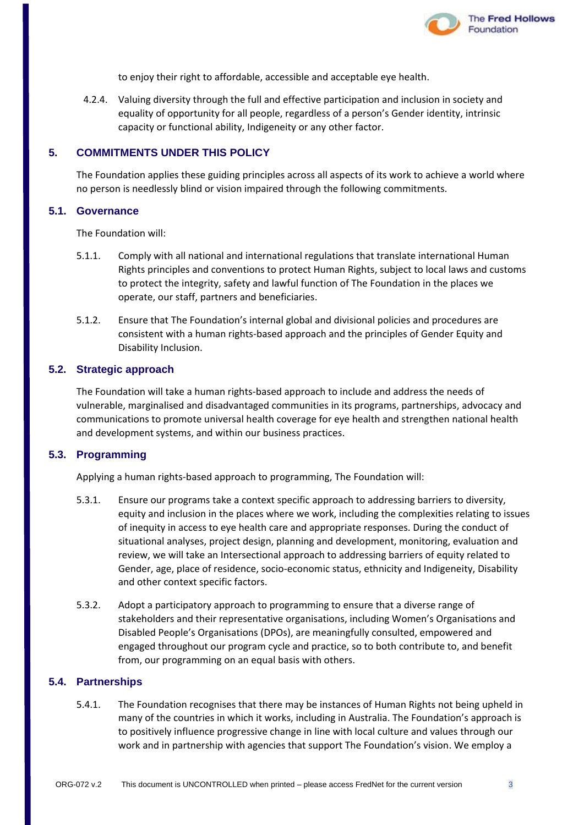

to enjoy their right to affordable, accessible and acceptable eye health.

4.2.4. Valuing diversity through the full and effective participation and inclusion in society and equality of opportunity for all people, regardless of a person's Gender identity, intrinsic capacity or functional ability, Indigeneity or any other factor.

#### **5. COMMITMENTS UNDER THIS POLICY**

The Foundation applies these guiding principles across all aspects of its work to achieve a world where no person is needlessly blind or vision impaired through the following commitments.

#### **5.1. Governance**

The Foundation will:

- 5.1.1. Comply with all national and international regulations that translate international Human Rights principles and conventions to protect Human Rights, subject to local laws and customs to protect the integrity, safety and lawful function of The Foundation in the places we operate, our staff, partners and beneficiaries.
- 5.1.2. Ensure that The Foundation's internal global and divisional policies and procedures are consistent with a human rights-based approach and the principles of Gender Equity and Disability Inclusion.

#### **5.2. Strategic approach**

The Foundation will take a human rights-based approach to include and address the needs of vulnerable, marginalised and disadvantaged communities in its programs, partnerships, advocacy and communications to promote universal health coverage for eye health and strengthen national health and development systems, and within our business practices.

#### **5.3. Programming**

Applying a human rights-based approach to programming, The Foundation will:

- 5.3.1. Ensure our programs take a context specific approach to addressing barriers to diversity, equity and inclusion in the places where we work, including the complexities relating to issues of inequity in access to eye health care and appropriate responses. During the conduct of situational analyses, project design, planning and development, monitoring, evaluation and review, we will take an Intersectional approach to addressing barriers of equity related to Gender, age, place of residence, socio-economic status, ethnicity and Indigeneity, Disability and other context specific factors.
- 5.3.2. Adopt a participatory approach to programming to ensure that a diverse range of stakeholders and their representative organisations, including Women's Organisations and Disabled People's Organisations (DPOs), are meaningfully consulted, empowered and engaged throughout our program cycle and practice, so to both contribute to, and benefit from, our programming on an equal basis with others.

#### **5.4. Partnerships**

5.4.1. The Foundation recognises that there may be instances of Human Rights not being upheld in many of the countries in which it works, including in Australia. The Foundation's approach is to positively influence progressive change in line with local culture and values through our work and in partnership with agencies that support The Foundation's vision. We employ a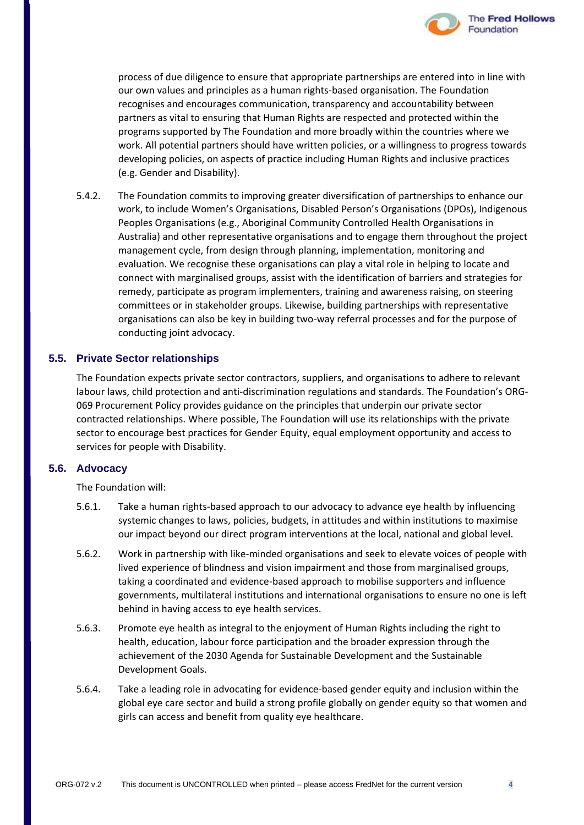

process of due diligence to ensure that appropriate partnerships are entered into in line with our own values and principles as a human rights-based organisation. The Foundation recognises and encourages communication, transparency and accountability between partners as vital to ensuring that Human Rights are respected and protected within the programs supported by The Foundation and more broadly within the countries where we work. All potential partners should have written policies, or a willingness to progress towards developing policies, on aspects of practice including Human Rights and inclusive practices (e.g. Gender and Disability).

5.4.2. The Foundation commits to improving greater diversification of partnerships to enhance our work, to include Women's Organisations, Disabled Person's Organisations (DPOs), Indigenous Peoples Organisations (e.g., Aboriginal Community Controlled Health Organisations in Australia) and other representative organisations and to engage them throughout the project management cycle, from design through planning, implementation, monitoring and evaluation. We recognise these organisations can play a vital role in helping to locate and connect with marginalised groups, assist with the identification of barriers and strategies for remedy, participate as program implementers, training and awareness raising, on steering committees or in stakeholder groups. Likewise, building partnerships with representative organisations can also be key in building two-way referral processes and for the purpose of conducting joint advocacy.

#### **5.5. Private Sector relationships**

The Foundation expects private sector contractors, suppliers, and organisations to adhere to relevant labour laws, child protection and anti-discrimination regulations and standards. The Foundation's ORG-069 Procurement Policy provides guidance on the principles that underpin our private sector contracted relationships. Where possible, The Foundation will use its relationships with the private sector to encourage best practices for Gender Equity, equal employment opportunity and access to services for people with Disability.

#### **5.6. Advocacy**

The Foundation will:

- 5.6.1. Take a human rights-based approach to our advocacy to advance eye health by influencing systemic changes to laws, policies, budgets, in attitudes and within institutions to maximise our impact beyond our direct program interventions at the local, national and global level.
- 5.6.2. Work in partnership with like-minded organisations and seek to elevate voices of people with lived experience of blindness and vision impairment and those from marginalised groups, taking a coordinated and evidence-based approach to mobilise supporters and influence governments, multilateral institutions and international organisations to ensure no one is left behind in having access to eye health services.
- 5.6.3. Promote eye health as integral to the enjoyment of Human Rights including the right to health, education, labour force participation and the broader expression through the achievement of the 2030 Agenda for Sustainable Development and the Sustainable Development Goals.
- 5.6.4. Take a leading role in advocating for evidence-based gender equity and inclusion within the global eye care sector and build a strong profile globally on gender equity so that women and girls can access and benefit from quality eye healthcare.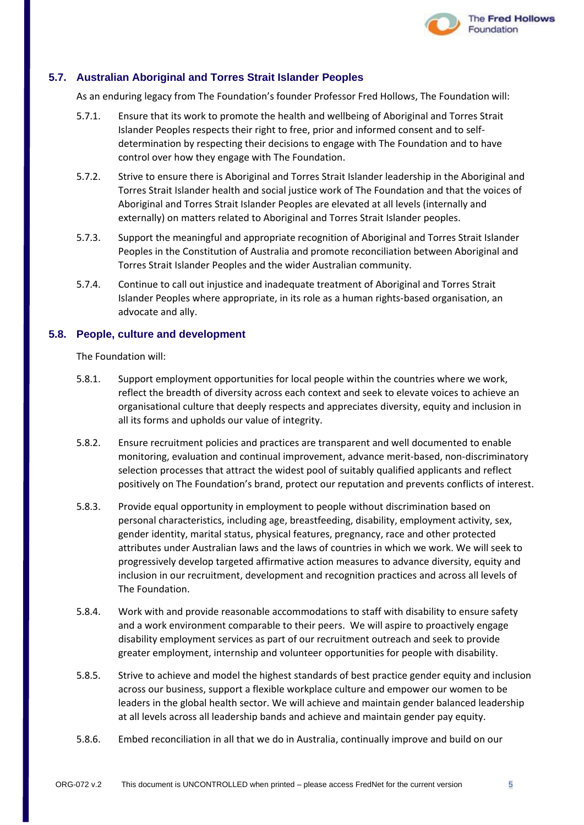

#### **5.7. Australian Aboriginal and Torres Strait Islander Peoples**

As an enduring legacy from The Foundation's founder Professor Fred Hollows, The Foundation will:

- 5.7.1. Ensure that its work to promote the health and wellbeing of Aboriginal and Torres Strait Islander Peoples respects their right to free, prior and informed consent and to selfdetermination by respecting their decisions to engage with The Foundation and to have control over how they engage with The Foundation.
- 5.7.2. Strive to ensure there is Aboriginal and Torres Strait Islander leadership in the Aboriginal and Torres Strait Islander health and social justice work of The Foundation and that the voices of Aboriginal and Torres Strait Islander Peoples are elevated at all levels (internally and externally) on matters related to Aboriginal and Torres Strait Islander peoples.
- 5.7.3. Support the meaningful and appropriate recognition of Aboriginal and Torres Strait Islander Peoples in the Constitution of Australia and promote reconciliation between Aboriginal and Torres Strait Islander Peoples and the wider Australian community.
- 5.7.4. Continue to call out injustice and inadequate treatment of Aboriginal and Torres Strait Islander Peoples where appropriate, in its role as a human rights-based organisation, an advocate and ally.

#### **5.8. People, culture and development**

The Foundation will:

- 5.8.1. Support employment opportunities for local people within the countries where we work, reflect the breadth of diversity across each context and seek to elevate voices to achieve an organisational culture that deeply respects and appreciates diversity, equity and inclusion in all its forms and upholds our value of integrity.
- 5.8.2. Ensure recruitment policies and practices are transparent and well documented to enable monitoring, evaluation and continual improvement, advance merit-based, non-discriminatory selection processes that attract the widest pool of suitably qualified applicants and reflect positively on The Foundation's brand, protect our reputation and prevents conflicts of interest.
- 5.8.3. Provide equal opportunity in employment to people without discrimination based on personal characteristics, including age, breastfeeding, disability, employment activity, sex, gender identity, marital status, physical features, pregnancy, race and other protected attributes under Australian laws and the laws of countries in which we work. We will seek to progressively develop targeted affirmative action measures to advance diversity, equity and inclusion in our recruitment, development and recognition practices and across all levels of The Foundation.
- 5.8.4. Work with and provide reasonable accommodations to staff with disability to ensure safety and a work environment comparable to their peers. We will aspire to proactively engage disability employment services as part of our recruitment outreach and seek to provide greater employment, internship and volunteer opportunities for people with disability.
- 5.8.5. Strive to achieve and model the highest standards of best practice gender equity and inclusion across our business, support a flexible workplace culture and empower our women to be leaders in the global health sector. We will achieve and maintain gender balanced leadership at all levels across all leadership bands and achieve and maintain gender pay equity.
- 5.8.6. Embed reconciliation in all that we do in Australia, continually improve and build on our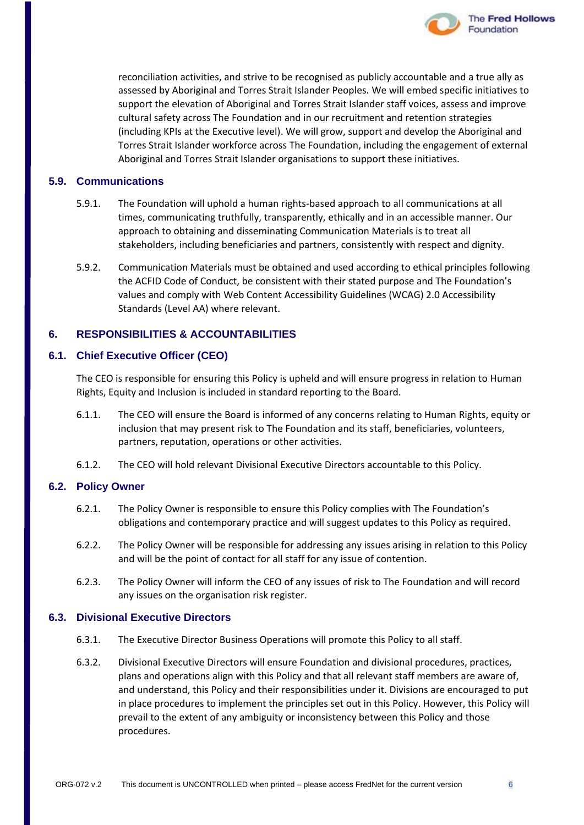

reconciliation activities, and strive to be recognised as publicly accountable and a true ally as assessed by Aboriginal and Torres Strait Islander Peoples. We will embed specific initiatives to support the elevation of Aboriginal and Torres Strait Islander staff voices, assess and improve cultural safety across The Foundation and in our recruitment and retention strategies (including KPIs at the Executive level). We will grow, support and develop the Aboriginal and Torres Strait Islander workforce across The Foundation, including the engagement of external Aboriginal and Torres Strait Islander organisations to support these initiatives.

#### **5.9. Communications**

- 5.9.1. The Foundation will uphold a human rights-based approach to all communications at all times, communicating truthfully, transparently, ethically and in an accessible manner. Our approach to obtaining and disseminating Communication Materials is to treat all stakeholders, including beneficiaries and partners, consistently with respect and dignity.
- 5.9.2. Communication Materials must be obtained and used according to ethical principles following the ACFID Code of Conduct, be consistent with their stated purpose and The Foundation's values and comply with Web Content Accessibility Guidelines (WCAG) 2.0 Accessibility Standards (Level AA) where relevant.

#### **6. RESPONSIBILITIES & ACCOUNTABILITIES**

#### **6.1. Chief Executive Officer (CEO)**

The CEO is responsible for ensuring this Policy is upheld and will ensure progress in relation to Human Rights, Equity and Inclusion is included in standard reporting to the Board.

- 6.1.1. The CEO will ensure the Board is informed of any concerns relating to Human Rights, equity or inclusion that may present risk to The Foundation and its staff, beneficiaries, volunteers, partners, reputation, operations or other activities.
- 6.1.2. The CEO will hold relevant Divisional Executive Directors accountable to this Policy.

#### **6.2. Policy Owner**

- 6.2.1. The Policy Owner is responsible to ensure this Policy complies with The Foundation's obligations and contemporary practice and will suggest updates to this Policy as required.
- 6.2.2. The Policy Owner will be responsible for addressing any issues arising in relation to this Policy and will be the point of contact for all staff for any issue of contention.
- 6.2.3. The Policy Owner will inform the CEO of any issues of risk to The Foundation and will record any issues on the organisation risk register.

#### **6.3. Divisional Executive Directors**

- 6.3.1. The Executive Director Business Operations will promote this Policy to all staff.
- 6.3.2. Divisional Executive Directors will ensure Foundation and divisional procedures, practices, plans and operations align with this Policy and that all relevant staff members are aware of, and understand, this Policy and their responsibilities under it. Divisions are encouraged to put in place procedures to implement the principles set out in this Policy. However, this Policy will prevail to the extent of any ambiguity or inconsistency between this Policy and those procedures.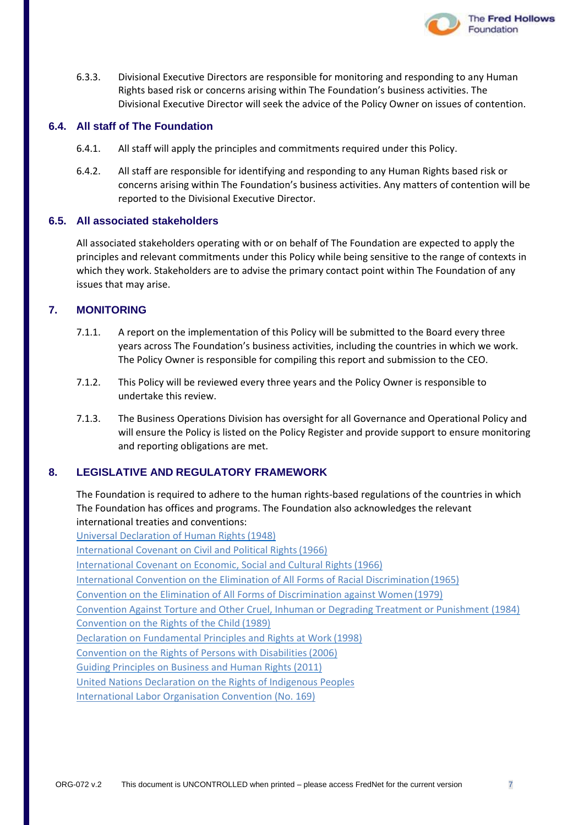

6.3.3. Divisional Executive Directors are responsible for monitoring and responding to any Human Rights based risk or concerns arising within The Foundation's business activities. The Divisional Executive Director will seek the advice of the Policy Owner on issues of contention.

#### **6.4. All staff of The Foundation**

- 6.4.1. All staff will apply the principles and commitments required under this Policy.
- 6.4.2. All staff are responsible for identifying and responding to any Human Rights based risk or concerns arising within The Foundation's business activities. Any matters of contention will be reported to the Divisional Executive Director.

#### **6.5. All associated stakeholders**

All associated stakeholders operating with or on behalf of The Foundation are expected to apply the principles and relevant commitments under this Policy while being sensitive to the range of contexts in which they work. Stakeholders are to advise the primary contact point within The Foundation of any issues that may arise.

#### **7. MONITORING**

- 7.1.1. A report on the implementation of this Policy will be submitted to the Board every three years across The Foundation's business activities, including the countries in which we work. The Policy Owner is responsible for compiling this report and submission to the CEO.
- 7.1.2. This Policy will be reviewed every three years and the Policy Owner is responsible to undertake this review.
- 7.1.3. The Business Operations Division has oversight for all Governance and Operational Policy and will ensure the Policy is listed on the Policy Register and provide support to ensure monitoring and reporting obligations are met.

#### **8. LEGISLATIVE AND REGULATORY FRAMEWORK**

The Foundation is required to adhere to the human rights-based regulations of the countries in which The Foundation has offices and programs. The Foundation also acknowledges the relevant international treaties and conventions:

[Universal Declaration of Human Rights](http://www.un.org/en/universal-declaration-human-rights/) (1948) [International Covenant on Civil and Political Rights\(1966\)](https://www.ohchr.org/en/professionalinterest/pages/ccpr.aspx) [International Covenant on Economic, Social and Cultural Rights\(1966\)](https://www.ohchr.org/en/professionalinterest/pages/cescr.aspx) [International Convention on the Elimination of All Forms of Racial Discrimination](https://www.ohchr.org/en/professionalinterest/pages/cerd.aspx) (1965) [Convention on the Elimination of All Forms of Discrimination against Women](https://www.ohchr.org/en/professionalinterest/pages/cedaw.aspx) (1979) [Convention Against Torture and Other Cruel, Inhuman or Degrading Treatment or Punishment](https://www.ohchr.org/en/professionalinterest/pages/cat.aspx) [\(1984\)](https://www.ohchr.org/en/professionalinterest/pages/cat.aspx) [Convention on the Rights of the Child](https://www.humanrights.gov.au/convention-rights-child) (1989) [Declaration on Fundamental Principles and Rights at Work](https://www.ilo.org/declaration/lang--en/index.htm) (1998) [Convention on the Rights of Persons with Disabilities\(2006\)](https://www.un.org/development/desa/disabilities/convention-on-the-rights-of-persons-with-disabilities.html) [Guiding Principles on Business and Human Rights](https://www.ohchr.org/Documents/Publications/GuidingPrinciplesBusinessHR_EN.pdf) (2011) [United Nations Declaration on the Rights of Indigenous Peoples](https://www.un.org/development/desa/indigenouspeoples/wp-content/uploads/sites/19/2018/11/UNDRIP_E_web.pdf) [International Labor Organisation Convention \(No. 169\)](https://www.ilo.org/dyn/normlex/en/f?p=NORMLEXPUB:12100:0::NO::P12100_ILO_CODE:C169)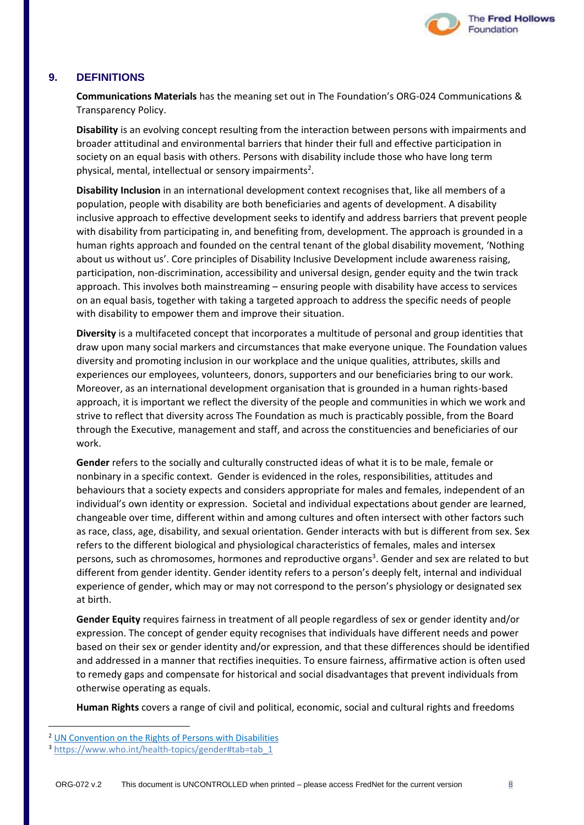

#### **9. DEFINITIONS**

**Communications Materials** has the meaning set out in The Foundation's ORG-024 Communications & Transparency Policy.

**Disability** is an evolving concept resulting from the interaction between persons with impairments and broader attitudinal and environmental barriers that hinder their full and effective participation in society on an equal basis with others. Persons with disability include those who have long term physical, mental, intellectual or sensory impairments<sup>2</sup>.

**Disability Inclusion** in an international development context recognises that, like all members of a population, people with disability are both beneficiaries and agents of development. A disability inclusive approach to effective development seeks to identify and address barriers that prevent people with disability from participating in, and benefiting from, development. The approach is grounded in a human rights approach and founded on the central tenant of the global disability movement, 'Nothing about us without us'. Core principles of Disability Inclusive Development include awareness raising, participation, non-discrimination, accessibility and universal design, gender equity and the twin track approach. This involves both mainstreaming – ensuring people with disability have access to services on an equal basis, together with taking a targeted approach to address the specific needs of people with disability to empower them and improve their situation.

**Diversity** is a multifaceted concept that incorporates a multitude of personal and group identities that draw upon many social markers and circumstances that make everyone unique. The Foundation values diversity and promoting inclusion in our workplace and the unique qualities, attributes, skills and experiences our employees, volunteers, donors, supporters and our beneficiaries bring to our work. Moreover, as an international development organisation that is grounded in a human rights-based approach, it is important we reflect the diversity of the people and communities in which we work and strive to reflect that diversity across The Foundation as much is practicably possible, from the Board through the Executive, management and staff, and across the constituencies and beneficiaries of our work.

**Gender** refers to the socially and culturally constructed ideas of what it is to be male, female or nonbinary in a specific context. Gender is evidenced in the roles, responsibilities, attitudes and behaviours that a society expects and considers appropriate for males and females, independent of an individual's own identity or expression. Societal and individual expectations about gender are learned, changeable over time, different within and among cultures and often intersect with other factors such as race, class, age, disability, and sexual orientation. Gender interacts with but is different from sex. Sex refers to the different biological and physiological characteristics of females, males and intersex persons, such as chromosomes, hormones and reproductive organs<sup>3</sup>. Gender and sex are related to but different from gender identity. Gender identity refers to a person's deeply felt, internal and individual experience of gender, which may or may not correspond to the person's physiology or designated sex at birth.

**Gender Equity** requires fairness in treatment of all people regardless of sex or gender identity and/or expression. The concept of gender equity recognises that individuals have different needs and power based on their sex or gender identity and/or expression, and that these differences should be identified and addressed in a manner that rectifies inequities. To ensure fairness, affirmative action is often used to remedy gaps and compensate for historical and social disadvantages that prevent individuals from otherwise operating as equals.

**Human Rights** covers a range of civil and political, economic, social and cultural rights and freedoms

<sup>&</sup>lt;sup>2</sup> [UN Convention on the Rights of Persons with Disabilities](http://www.un.org/disabilities/documents/convention/convoptprot-e.pdf)

<sup>&</sup>lt;sup>3</sup> [https://www.who.int/health-topics/gender#tab=tab\\_1](https://www.who.int/health-topics/gender#tab=tab_1)